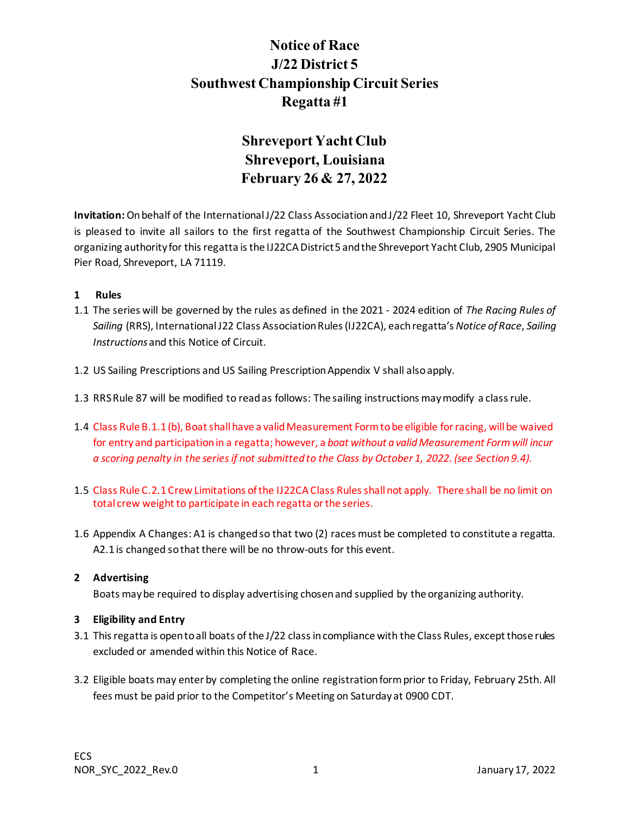# **Notice of Race J/22 District 5 Southwest Championship Circuit Series Regatta #1**

# **Shreveport Yacht Club Shreveport, Louisiana February 26 & 27, 2022**

**Invitation:**On behalf of the International J/22 Class Association and J/22 Fleet 10, Shreveport Yacht Club is pleased to invite all sailors to the first regatta of the Southwest Championship Circuit Series. The organizing authority for this regatta is the IJ22CA District 5 and the Shreveport Yacht Club, 2905 Municipal Pier Road, Shreveport, LA 71119.

# **1 Rules**

- 1.1 The series will be governed by the rules as defined in the 2021 2024 edition of *The Racing Rules of Sailing* (RRS), International J22 Class Association Rules (IJ22CA), eachregatta's *Notice of Race*, *Sailing Instructions*and this Notice of Circuit.
- 1.2 US Sailing Prescriptions and US Sailing Prescription Appendix V shall also apply.
- 1.3 RRS Rule 87 will be modified to read as follows: The sailing instructions may modify a class rule.
- 1.4 Class Rule B.1.1 (b), Boat shall have a valid Measurement Form to be eligible for racing, will be waived for entry and participation in a regatta; however, a *boat without a valid Measurement Form will incur a scoring penalty in the series if not submitted to the Class by October 1, 2022. (see Section 9.4).*
- 1.5 Class Rule C.2.1 Crew Limitations of the IJ22CA Class Rules shall not apply. There shall be no limit on total crew weight to participate in each regatta or the series.
- 1.6 Appendix A Changes: A1 is changed so that two (2) races must be completed to constitute a regatta. A2.1 is changed so that there will be no throw-outs for this event.

## **2 Advertising**

Boats may be required to display advertising chosen and supplied by the organizing authority.

# **3 Eligibility and Entry**

- 3.1 This regatta is open to all boats of the J/22 class in compliance with the Class Rules, except those rules excluded or amended within this Notice of Race.
- 3.2 Eligible boats may enter by completing the online registration form prior to Friday, February 25th. All fees must be paid prior to the Competitor's Meeting on Saturday at 0900 CDT.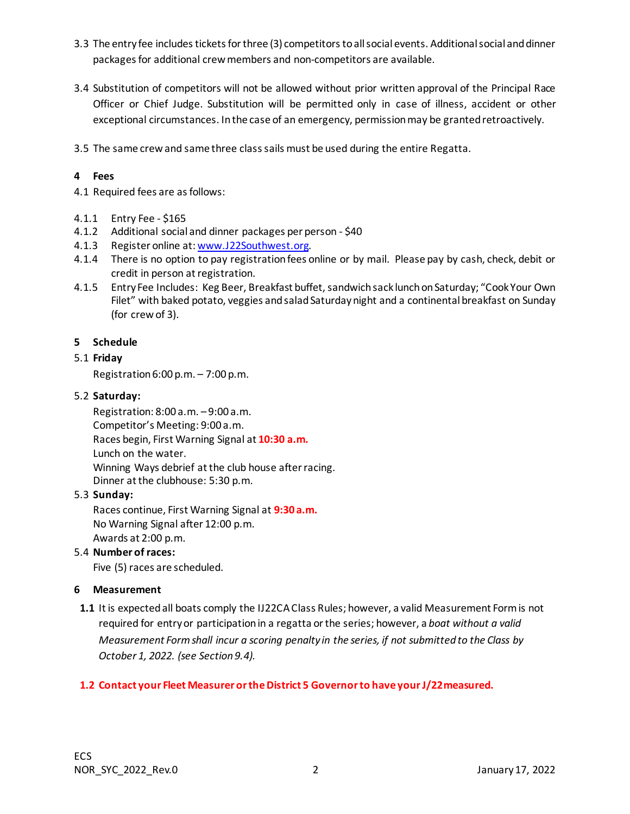- 3.3 The entry fee includes tickets for three (3) competitors to all social events. Additional social and dinner packages for additional crew members and non-competitors are available.
- 3.4 Substitution of competitors will not be allowed without prior written approval of the Principal Race Officer or Chief Judge. Substitution will be permitted only in case of illness, accident or other exceptional circumstances. In the case of an emergency, permission may be granted retroactively.
- 3.5 The same crew and same three class sails must be used during the entire Regatta.

# **4 Fees**

4.1 Required fees are as follows:

- 4.1.1 Entry Fee \$165
- 4.1.2 Additional social and dinner packages per person \$40
- 4.1.3 Register online at[: www.J22Southwest.org](http://www.j22southwest.org/).
- 4.1.4 There is no option to pay registration fees online or by mail. Please pay by cash, check, debit or credit in person at registration.
- 4.1.5 Entry Fee Includes: Keg Beer, Breakfast buffet, sandwich sack lunch on Saturday; "Cook Your Own Filet" with baked potato, veggies and salad Saturdaynight and a continental breakfast on Sunday (for crew of 3).

# **5 Schedule**

# 5.1 **Friday**

Registration 6:00 p.m. – 7:00 p.m.

# 5.2 **Saturday:**

Registration: 8:00 a.m. – 9:00 a.m. Competitor's Meeting: 9:00 a.m. Races begin, First Warning Signal at **10:30 a.m.** Lunch on the water. Winning Ways debrief at the club house after racing. Dinner at the clubhouse: 5:30 p.m.

## 5.3 **Sunday:**

Races continue, First Warning Signal at **9:30 a.m.** No Warning Signal after 12:00 p.m. Awards at 2:00 p.m.

## 5.4 **Number of races:**

Five (5) races are scheduled.

## **6 Measurement**

**1.1** It is expected all boats comply the IJ22CA Class Rules; however, a valid Measurement Formis not required for entry or participation in a regatta or the series; however, a *boat without a valid Measurement Formshall incur a scoring penalty in the series, if not submitted to the Class by October 1, 2022. (see Section 9.4).*

# **1.2 Contact your Fleet Measurer or the District 5 Governor to have your J/22measured.**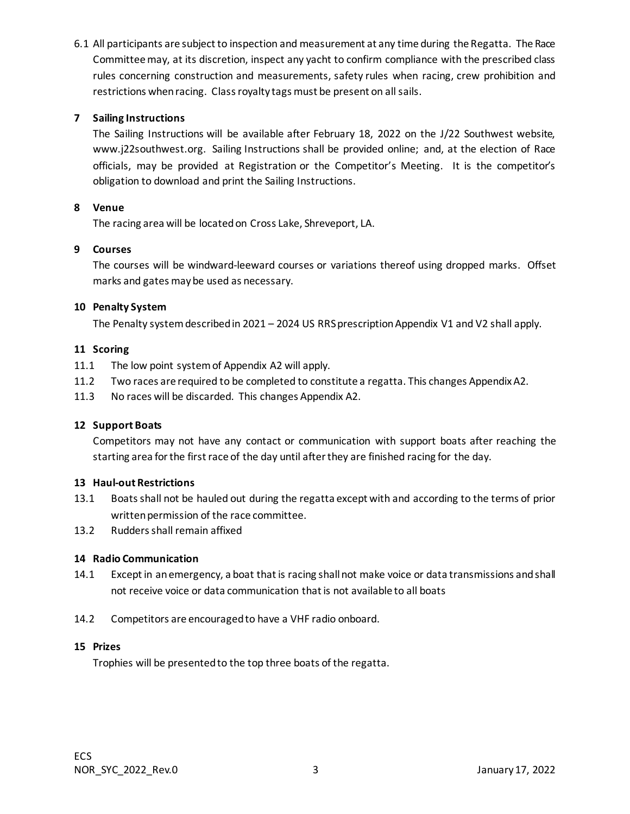6.1 All participants are subject to inspection and measurement at any time during the Regatta. The Race Committee may, at its discretion, inspect any yacht to confirm compliance with the prescribed class rules concerning construction and measurements, safety rules when racing, crew prohibition and restrictions when racing. Class royalty tags must be present on all sails.

# **7 Sailing Instructions**

The Sailing Instructions will be available after February 18, 2022 on the J/22 Southwest website, www.j22southwest.org. Sailing Instructions shall be provided online; and, at the election of Race officials, may be provided at Registration or the Competitor's Meeting. It is the competitor's obligation to download and print the Sailing Instructions.

# **8 Venue**

The racing area will be located on Cross Lake, Shreveport, LA.

# **9 Courses**

The courses will be windward-leeward courses or variations thereof using dropped marks. Offset marks and gates may be used as necessary.

# **10 Penalty System**

The Penalty system described in 2021 – 2024 US RRS prescription Appendix V1 and V2 shall apply.

# **11 Scoring**

- 11.1 The low point system of Appendix A2 will apply.
- 11.2 Two races are required to be completed to constitute a regatta. This changes Appendix A2.
- 11.3 No races will be discarded. This changes Appendix A2.

# **12 Support Boats**

Competitors may not have any contact or communication with support boats after reaching the starting area for the first race of the day until after they are finished racing for the day.

## **13 Haul-out Restrictions**

- 13.1 Boats shall not be hauled out during the regatta except with and according to the terms of prior written permission of the race committee.
- 13.2 Rudders shall remain affixed

## **14 Radio Communication**

- 14.1 Except in an emergency, a boat that is racing shall not make voice or data transmissions and shall not receive voice or data communication that is not available to all boats
- 14.2 Competitors are encouraged to have a VHF radio onboard.

## **15 Prizes**

Trophies will be presented to the top three boats of the regatta.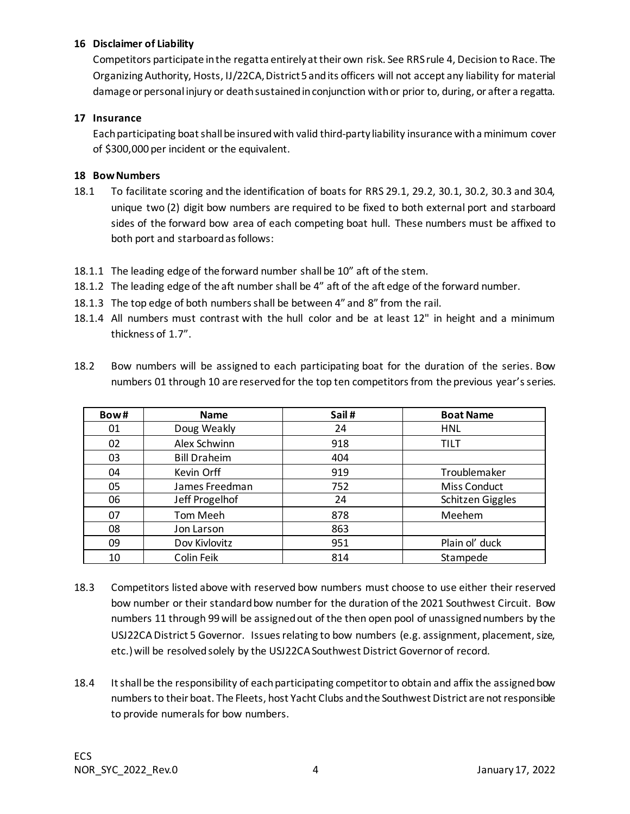# **16 Disclaimer of Liability**

Competitors participate in the regatta entirely at their own risk. See RRS rule 4, Decision to Race. The Organizing Authority, Hosts, IJ/22CA, District 5 and its officers will not accept any liability for material damage or personal injury or death sustained in conjunction withor prior to, during, or after a regatta.

# **17 Insurance**

Each participating boat shall be insured with valid third-party liability insurance with a minimum cover of \$300,000 per incident or the equivalent.

# **18 Bow Numbers**

- 18.1 To facilitate scoring and the identification of boats for RRS 29.1, 29.2, 30.1, 30.2, 30.3 and 30.4, unique two (2) digit bow numbers are required to be fixed to both external port and starboard sides of the forward bow area of each competing boat hull. These numbers must be affixed to both port and starboard as follows:
- 18.1.1 The leading edge of the forward number shall be 10" aft of the stem.
- 18.1.2 The leading edge of the aft number shall be 4" aft of the aft edge of the forward number.
- 18.1.3 The top edge of both numbers shall be between 4" and 8" from the rail.
- 18.1.4 All numbers must contrast with the hull color and be at least 12" in height and a minimum thickness of 1.7".

| Bow# | <b>Name</b>         | Sail# | <b>Boat Name</b> |
|------|---------------------|-------|------------------|
| 01   | Doug Weakly         | 24    | <b>HNL</b>       |
| 02   | Alex Schwinn        | 918   | <b>TILT</b>      |
| 03   | <b>Bill Draheim</b> | 404   |                  |
| 04   | Kevin Orff          | 919   | Troublemaker     |
| 05   | James Freedman      | 752   | Miss Conduct     |
| 06   | Jeff Progelhof      | 24    | Schitzen Giggles |
| 07   | Tom Meeh            | 878   | Meehem           |
| 08   | Jon Larson          | 863   |                  |
| 09   | Dov Kivlovitz       | 951   | Plain ol' duck   |
| 10   | Colin Feik          | 814   | Stampede         |

18.2 Bow numbers will be assigned to each participating boat for the duration of the series. Bow numbers 01 through 10 are reserved for the top ten competitors from the previous year'sseries.

- 18.3 Competitors listed above with reserved bow numbers must choose to use either their reserved bow number or their standard bow number for the duration of the 2021 Southwest Circuit. Bow numbers 11 through 99 will be assigned out of the then open pool of unassigned numbers by the USJ22CA District 5 Governor. Issues relating to bow numbers (e.g. assignment, placement, size, etc.) will be resolved solely by the USJ22CA Southwest District Governor of record.
- 18.4 It shall be the responsibility of each participating competitor to obtain and affix the assigned bow numbers to their boat. The Fleets, host Yacht Clubs and the Southwest District are not responsible to provide numerals for bow numbers.